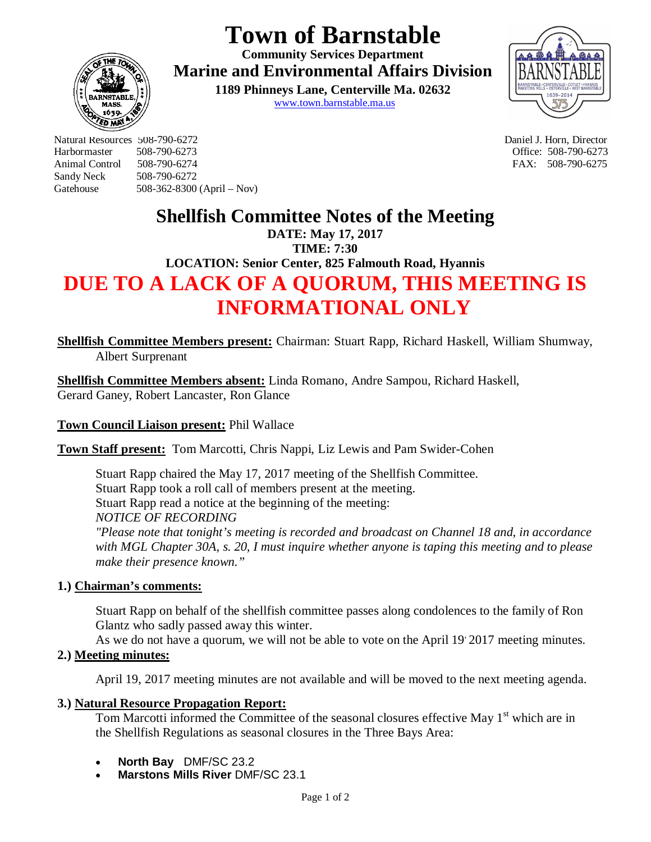# **Town of Barnstable**

**Community Services Department Marine and Environmental Affairs Division** 

> **1189 Phinneys Lane, Centerville Ma. 02632** www.town.barnstable.ma.us



Natural Resources 508-790-6272 Daniel J. Horn, Director Harbormaster 508-790-6273 Office: 508-790-6273 Sandy Neck 508-790-6272 Gatehouse 508-362-8300 (April – Nov)

FAX: 508-790-6275

### **Shellfish Committee Notes of the Meeting**

**DATE: May 17, 2017 TIME: 7:30** 

**LOCATION: Senior Center, 825 Falmouth Road, Hyannis**

## **DUE TO A LACK OF A QUORUM, THIS MEETING IS INFORMATIONAL ONLY**

**Shellfish Committee Members present:** Chairman: Stuart Rapp, Richard Haskell, William Shumway, Albert Surprenant

**Shellfish Committee Members absent:** Linda Romano, Andre Sampou, Richard Haskell, Gerard Ganey, Robert Lancaster, Ron Glance

#### **Town Council Liaison present:** Phil Wallace

**Town Staff present:** Tom Marcotti, Chris Nappi, Liz Lewis and Pam Swider-Cohen

Stuart Rapp chaired the May 17, 2017 meeting of the Shellfish Committee. Stuart Rapp took a roll call of members present at the meeting. Stuart Rapp read a notice at the beginning of the meeting: *NOTICE OF RECORDING "Please note that tonight's meeting is recorded and broadcast on Channel 18 and, in accordance with MGL Chapter 30A, s. 20, I must inquire whether anyone is taping this meeting and to please make their presence known."*

#### **1.) Chairman's comments:**

Stuart Rapp on behalf of the shellfish committee passes along condolences to the family of Ron Glantz who sadly passed away this winter.

As we do not have a quorum, we will not be able to vote on the April 19, 2017 meeting minutes.

#### **2.) Meeting minutes:**

April 19, 2017 meeting minutes are not available and will be moved to the next meeting agenda.

#### **3.) Natural Resource Propagation Report:**

Tom Marcotti informed the Committee of the seasonal closures effective May  $1<sup>st</sup>$  which are in the Shellfish Regulations as seasonal closures in the Three Bays Area:

- **North Bay** DMF/SC 23.2
- **Marstons Mills River** DMF/SC 23.1